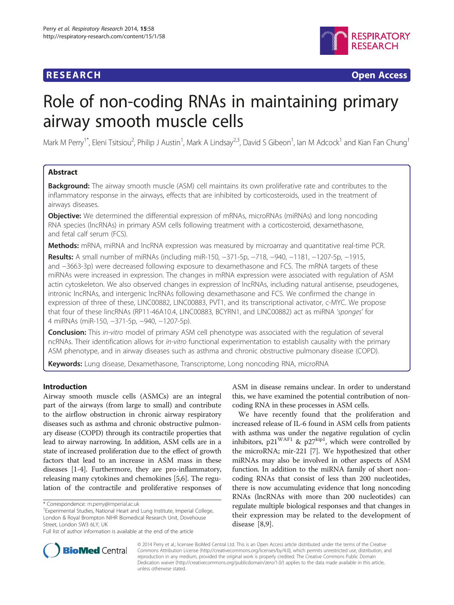# **RESEARCH RESEARCH** *CHECKER CHECKER CHECKER CHECKER CHECKER CHECKER CHECKER CHECKER CHECKER CHECKER CHECKER*



# Role of non-coding RNAs in maintaining primary airway smooth muscle cells

Mark M Perry<sup>1\*</sup>, Eleni Tsitsiou<sup>2</sup>, Philip J Austin<sup>1</sup>, Mark A Lindsay<sup>2,3</sup>, David S Gibeon<sup>1</sup>, Ian M Adcock<sup>1</sup> and Kian Fan Chung<sup>1</sup>

# Abstract

**Background:** The airway smooth muscle (ASM) cell maintains its own proliferative rate and contributes to the inflammatory response in the airways, effects that are inhibited by corticosteroids, used in the treatment of airways diseases.

**Objective:** We determined the differential expression of mRNAs, microRNAs (miRNAs) and long noncoding RNA species (lncRNAs) in primary ASM cells following treatment with a corticosteroid, dexamethasone, and fetal calf serum (FCS).

**Methods:** mRNA, miRNA and lncRNA expression was measured by microarray and quantitative real-time PCR.

Results: A small number of miRNAs (including miR-150, -371-5p, -718, -940, -1181, -1207-5p, -1915, and −3663-3p) were decreased following exposure to dexamethasone and FCS. The mRNA targets of these miRNAs were increased in expression. The changes in mRNA expression were associated with regulation of ASM actin cytoskeleton. We also observed changes in expression of lncRNAs, including natural antisense, pseudogenes, intronic lncRNAs, and intergenic lncRNAs following dexamethasone and FCS. We confirmed the change in expression of three of these, LINC00882, LINC00883, PVT1, and its transcriptional activator, c-MYC. We propose that four of these lincRNAs (RP11-46A10.4, LINC00883, BCYRN1, and LINC00882) act as miRNA 'sponges' for 4 miRNAs (miR-150, −371-5p, −940, −1207-5p).

**Conclusion:** This in-vitro model of primary ASM cell phenotype was associated with the regulation of several ncRNAs. Their identification allows for in-vitro functional experimentation to establish causality with the primary ASM phenotype, and in airway diseases such as asthma and chronic obstructive pulmonary disease (COPD).

Keywords: Lung disease, Dexamethasone, Transcriptome, Long noncoding RNA, microRNA

# Introduction

Airway smooth muscle cells (ASMCs) are an integral part of the airways (from large to small) and contribute to the airflow obstruction in chronic airway respiratory diseases such as asthma and chronic obstructive pulmonary disease (COPD) through its contractile properties that lead to airway narrowing. In addition, ASM cells are in a state of increased proliferation due to the effect of growth factors that lead to an increase in ASM mass in these diseases [[1-4\]](#page-10-0). Furthermore, they are pro-inflammatory, releasing many cytokines and chemokines [[5,6\]](#page-10-0). The regulation of the contractile and proliferative responses of ASM in disease remains unclear. In order to understand this, we have examined the potential contribution of noncoding RNA in these processes in ASM cells.

We have recently found that the proliferation and increased release of IL-6 found in ASM cells from patients with asthma was under the negative regulation of cyclin inhibitors,  $p21^{WAF1}$  &  $p27^{kip1}$ , which were controlled by the microRNA; mir-221 [[7\]](#page-10-0). We hypothesized that other miRNAs may also be involved in other aspects of ASM function. In addition to the miRNA family of short noncoding RNAs that consist of less than 200 nucleotides, there is now accumulating evidence that long noncoding RNAs (lncRNAs with more than 200 nucleotides) can regulate multiple biological responses and that changes in their expression may be related to the development of disease [\[8,9](#page-10-0)].



© 2014 Perry et al.; licensee BioMed Central Ltd. This is an Open Access article distributed under the terms of the Creative Commons Attribution License [\(http://creativecommons.org/licenses/by/4.0\)](http://creativecommons.org/licenses/by/4.0), which permits unrestricted use, distribution, and reproduction in any medium, provided the original work is properly credited. The Creative Commons Public Domain Dedication waiver [\(http://creativecommons.org/publicdomain/zero/1.0/](http://creativecommons.org/publicdomain/zero/1.0/)) applies to the data made available in this article, unless otherwise stated.

<sup>\*</sup> Correspondence: [m.perry@imperial.ac.uk](mailto:m.perry@imperial.ac.uk) <sup>1</sup>

Experimental Studies, National Heart and Lung Institute, Imperial College, London & Royal Brompton NIHR Biomedical Research Unit, Dovehouse Street, London SW3 6LY, UK

Full list of author information is available at the end of the article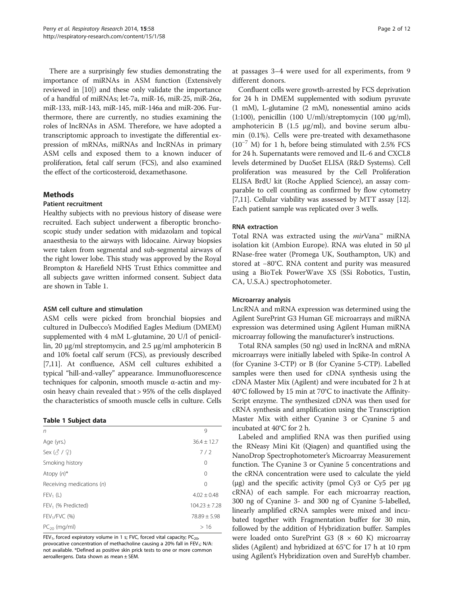There are a surprisingly few studies demonstrating the importance of miRNAs in ASM function (Extensively reviewed in [[10](#page-10-0)]) and these only validate the importance of a handful of miRNAs; let-7a, miR-16, miR-25, miR-26a, miR-133, miR-143, miR-145, miR-146a and miR-206. Furthermore, there are currently, no studies examining the roles of lncRNAs in ASM. Therefore, we have adopted a transcriptomic approach to investigate the differential expression of mRNAs, miRNAs and lncRNAs in primary ASM cells and exposed them to a known inducer of proliferation, fetal calf serum (FCS), and also examined the effect of the corticosteroid, dexamethasone.

## Methods

### Patient recruitment

Healthy subjects with no previous history of disease were recruited. Each subject underwent a fiberoptic bronchoscopic study under sedation with midazolam and topical anaesthesia to the airways with lidocaine. Airway biopsies were taken from segmental and sub-segmental airways of the right lower lobe. This study was approved by the Royal Brompton & Harefield NHS Trust Ethics committee and all subjects gave written informed consent. Subject data are shown in Table 1.

## ASM cell culture and stimulation

ASM cells were picked from bronchial biopsies and cultured in Dulbecco's Modified Eagles Medium (DMEM) supplemented with 4 mM L-glutamine, 20 U/l of penicillin, 20 μg/ml streptomycin, and 2.5 μg/ml amphotericin B and 10% foetal calf serum (FCS), as previously described [[7,11](#page-10-0)]. At confluence, ASM cell cultures exhibited a typical "hill-and-valley" appearance. Immunofluorescence techniques for calponin, smooth muscle α-actin and myosin heavy chain revealed that > 95% of the cells displayed the characteristics of smooth muscle cells in culture. Cells

#### Table 1 Subject data

| 9                 |
|-------------------|
| $36.4 \pm 12.7$   |
| 7/2               |
| 0                 |
| $\Omega$          |
| 0                 |
| $4.02 \pm 0.48$   |
| $104.23 \pm 7.28$ |
| $78.89 \pm 5.98$  |
| >16               |
|                   |

FEV<sub>1</sub>, forced expiratory volume in 1 s; FVC, forced vital capacity; PC<sub>20</sub>, provocative concentration of methacholine causing a 20% fall in FEV<sub>1</sub>; N/A: not available. \*Defined as positive skin prick tests to one or more common aeroallergens. Data shown as mean ± SEM.

at passages 3–4 were used for all experiments, from 9 different donors.

Confluent cells were growth-arrested by FCS deprivation for 24 h in DMEM supplemented with sodium pyruvate (1 mM), L-glutamine (2 mM), nonessential amino acids (1:100), penicillin (100 U/ml)/streptomycin (100  $\mu$ g/ml), amphotericin B  $(1.5 \text{ µg/ml})$ , and bovine serum albumin (0.1%). Cells were pre-treated with dexamethasone  $(10^{-7}$  M) for 1 h, before being stimulated with 2.5% FCS for 24 h. Supernatants were removed and IL-6 and CXCL8 levels determined by DuoSet ELISA (R&D Systems). Cell proliferation was measured by the Cell Proliferation ELISA BrdU kit (Roche Applied Science), an assay comparable to cell counting as confirmed by flow cytometry [[7,11](#page-10-0)]. Cellular viability was assessed by MTT assay [[12](#page-10-0)]. Each patient sample was replicated over 3 wells.

## RNA extraction

Total RNA was extracted using the  $mir$ Vana™ miRNA isolation kit (Ambion Europe). RNA was eluted in 50 μl RNase-free water (Promega UK, Southampton, UK) and stored at −80°C. RNA content and purity was measured using a BioTek PowerWave XS (SSi Robotics, Tustin, CA, U.S.A.) spectrophotometer.

#### Microarray analysis

LncRNA and mRNA expression was determined using the Agilent SurePrint G3 Human GE microarrays and miRNA expression was determined using Agilent Human miRNA microarray following the manufacturer's instructions.

Total RNA samples (50 ng) used in lncRNA and mRNA microarrays were initially labeled with Spike-In control A (for Cyanine 3-CTP) or B (for Cyanine 5-CTP). Labelled samples were then used for cDNA synthesis using the cDNA Master Mix (Agilent) and were incubated for 2 h at 40°C followed by 15 min at 70°C to inactivate the Affinity-Script enzyme. The synthesized cDNA was then used for cRNA synthesis and amplification using the Transcription Master Mix with either Cyanine 3 or Cyanine 5 and incubated at 40°C for 2 h.

Labeled and amplified RNA was then purified using the RNeasy Mini Kit (Qiagen) and quantified using the NanoDrop Spectrophotometer's Microarray Measurement function. The Cyanine 3 or Cyanine 5 concentrations and the cRNA concentration were used to calculate the yield (μg) and the specific activity (pmol Cy3 or Cy5 per μg cRNA) of each sample. For each microarray reaction, 300 ng of Cyanine 3- and 300 ng of Cyanine 5-labelled, linearly amplified cRNA samples were mixed and incubated together with Fragmentation buffer for 30 min, followed by the addition of Hybridization buffer. Samples were loaded onto SurePrint G3  $(8 \times 60 \text{ K})$  microarray slides (Agilent) and hybridized at 65°C for 17 h at 10 rpm using Agilent's Hybridization oven and SureHyb chamber.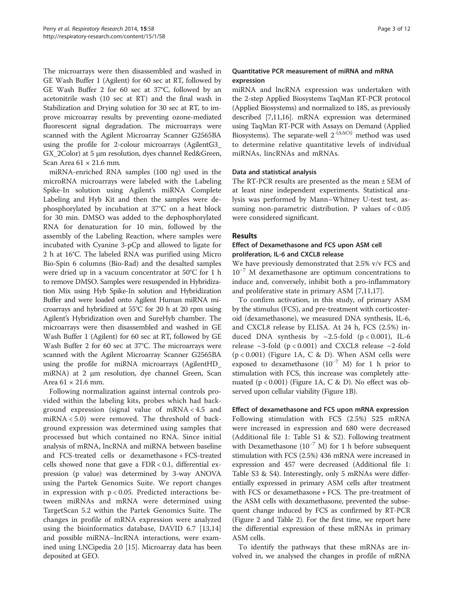The microarrays were then disassembled and washed in GE Wash Buffer 1 (Agilent) for 60 sec at RT, followed by GE Wash Buffer 2 for 60 sec at 37°C, followed by an acetonitrile wash (10 sec at RT) and the final wash in Stabilization and Drying solution for 30 sec at RT, to improve microarray results by preventing ozone-mediated fluorescent signal degradation. The microarrays were scanned with the Agilent Microarray Scanner G2565BA using the profile for 2-colour microarrays (AgilentG3\_ GX\_2Color) at 5 μm resolution, dyes channel Red&Green, Scan Area  $61 \times 21.6$  mm.

miRNA-enriched RNA samples (100 ng) used in the microRNA microarrays were labeled with the Labeling Spike-In solution using Agilent's miRNA Complete Labeling and Hyb Kit and then the samples were dephosphorylated by incubation at 37°C on a heat block for 30 min. DMSO was added to the dephosphorylated RNA for denaturation for 10 min, followed by the assembly of the Labeling Reaction, where samples were incubated with Cyanine 3-pCp and allowed to ligate for 2 h at 16°C. The labeled RNA was purified using Micro Bio-Spin 6 columns (Bio-Rad) and the desalted samples were dried up in a vacuum concentrator at 50°C for 1 h to remove DMSO. Samples were resuspended in Hybridization Mix using Hyb Spike-In solution and Hybridization Buffer and were loaded onto Agilent Human miRNA microarrays and hybridized at 55°C for 20 h at 20 rpm using Agilent's Hybridization oven and SureHyb chamber. The microarrays were then disassembled and washed in GE Wash Buffer 1 (Agilent) for 60 sec at RT, followed by GE Wash Buffer 2 for 60 sec at 37°C. The microarrays were scanned with the Agilent Microarray Scanner G2565BA using the profile for miRNA microarrays (AgilentHD\_ miRNA) at 2 μm resolution, dye channel Green, Scan Area  $61 \times 21.6$  mm.

Following normalization against internal controls provided within the labeling kits, probes which had background expression (signal value of mRNA < 4.5 and miRNA < 5.0) were removed. The threshold of background expression was determined using samples that processed but which contained no RNA. Since initial analysis of mRNA, lncRNA and miRNA between baseline and FCS-treated cells or dexamethasone + FCS-treated cells showed none that gave a  $FDR < 0.1$ , differential expression (p value) was determined by 3-way ANOVA using the Partek Genomics Suite. We report changes in expression with  $p < 0.05$ . Predicted interactions between miRNAs and mRNA were determined using TargetScan 5.2 within the Partek Genomics Suite. The changes in profile of mRNA expression were analyzed using the bioinformatics database, DAVID 6.7 [[13,14](#page-10-0)] and possible miRNA–lncRNA interactions, were examined using LNCipedia 2.0 [[15](#page-10-0)]. Microarray data has been deposited at GEO.

# Quantitative PCR measurement of miRNA and mRNA expression

miRNA and lncRNA expression was undertaken with the 2-step Applied Biosystems TaqMan RT-PCR protocol (Applied Biosystems) and normalized to 18S, as previously described [\[7,11,16\]](#page-10-0). mRNA expression was determined using TaqMan RT-PCR with Assays on Demand (Applied Biosystems). The separate-well  $2^{-(\Delta \Delta \text{Ct})}$  method was used to determine relative quantitative levels of individual miRNAs, lincRNAs and mRNAs.

## Data and statistical analysis

The RT-PCR results are presented as the mean ± SEM of at least nine independent experiments. Statistical analysis was performed by Mann–Whitney U-test test, assuming non-parametric distribution. P values of < 0.05 were considered significant.

# Results

# Effect of Dexamethasone and FCS upon ASM cell proliferation, IL-6 and CXCL8 release

We have previously demonstrated that 2.5% v/v FCS and  $10^{-7}$  M dexamethasone are optimum concentrations to induce and, conversely, inhibit both a pro-inflammatory and proliferative state in primary ASM [[7,11,17\]](#page-10-0).

To confirm activation, in this study, of primary ASM by the stimulus (FCS), and pre-treatment with corticosteroid (dexamethasone), we measured DNA synthesis, IL-6, and CXCL8 release by ELISA. At 24 h, FCS (2.5%) induced DNA synthesis by  $\sim$ 2.5-fold (p < 0.001), IL-6 release  $\sim$ 3-fold (p < 0.001) and CXCL8 release  $\sim$ 2-fold  $(p < 0.001)$  (Figure [1](#page-3-0)A, C & D). When ASM cells were exposed to dexamethasone  $(10^{-7}$  M) for 1 h prior to stimulation with FCS, this increase was completely attenuated  $(p < 0.001)$  (Figure [1](#page-3-0)A, C & D). No effect was observed upon cellular viability (Figure [1](#page-3-0)B).

#### Effect of dexamethasone and FCS upon mRNA expression

Following stimulation with FCS (2.5%) 525 mRNA were increased in expression and 680 were decreased (Additional file [1](#page-9-0): Table S1 & S2). Following treatment with Dexamethasone ( $10^{-7}$  M) for 1 h before subsequent stimulation with FCS (2.5%) 436 mRNA were increased in expression and 457 were decreased (Additional file [1](#page-9-0): Table S3 & S4). Interestingly, only 5 mRNAs were differentially expressed in primary ASM cells after treatment with FCS or dexamethasone + FCS. The pre-treatment of the ASM cells with dexamethasone, prevented the subsequent change induced by FCS as confirmed by RT-PCR (Figure [2](#page-3-0) and Table [2](#page-4-0)). For the first time, we report here the differential expression of these mRNAs in primary ASM cells.

To identify the pathways that these mRNAs are involved in, we analysed the changes in profile of mRNA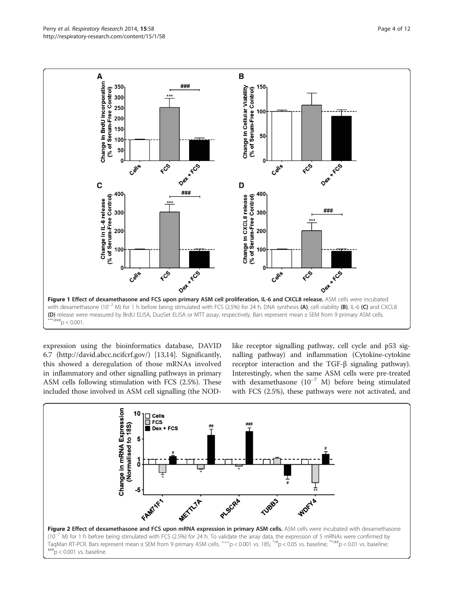

<span id="page-3-0"></span>

expression using the bioinformatics database, DAVID 6.7 [\(http://david.abcc.ncifcrf.gov/](http://david.abcc.ncifcrf.gov/)) [[13,14\]](#page-10-0). Significantly, this showed a deregulation of those mRNAs involved in inflammatory and other signalling pathways in primary ASM cells following stimulation with FCS (2.5%). These included those involved in ASM cell signalling (the NOD- like receptor signalling pathway, cell cycle and p53 signalling pathway) and inflammation (Cytokine-cytokine receptor interaction and the TGF-β signaling pathway). Interestingly, when the same ASM cells were pre-treated with dexamethasone (10<sup>-7</sup> M) before being stimulated with FCS (2.5%), these pathways were not activated, and

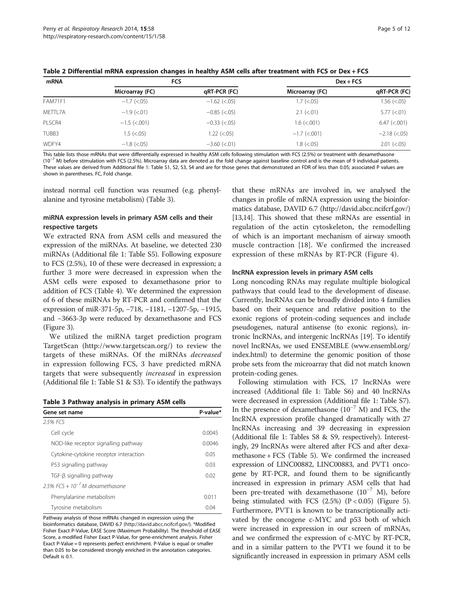<span id="page-4-0"></span>

|  |  |  | Table 2 Differential mRNA expression changes in healthy ASM cells after treatment with FCS or Dex + FCS |
|--|--|--|---------------------------------------------------------------------------------------------------------|
|--|--|--|---------------------------------------------------------------------------------------------------------|

| mRNA            | <b>FCS</b>      |                      | $Dev + FCS$        |                      |
|-----------------|-----------------|----------------------|--------------------|----------------------|
| Microarray (FC) |                 | qRT-PCR (FC)         | Microarray (FC)    | qRT-PCR (FC)         |
| <b>FAM71F1</b>  | $-1.7$ (<.05)   | $-1.62$ (<.05)       | $1.7$ ( $< 0.05$ ) | $1.56 \; (< 0.05)$   |
| METTL7A         | $-1.9$ (<.01)   | $-0.85$ (<.05)       | $2.1$ ( $< 01$ )   | $5.77 (< 0.01$ )     |
| PLSCR4          | $-1.5$ (<.001)  | $-0.33$ ( $< 0.05$ ) | $1.6$ (<.001)      | $6.47$ ( $< .001$ )  |
| TUBB3           | $1.5 \leq c.05$ | $1.22$ (<.05)        | $-1.7$ (<.001)     | $-2.18$ ( $< 0.05$ ) |
| WDFY4           | $-1.8$ (<.05)   | $-3.60$ ( $< 01$ )   | $1.8$ ( $< .05$ )  | 2.01 (< .05)         |

This table lists those mRNAs that were differentially expressed in healthy ASM cells following stimulation with FCS (2.5%) or treatment with dexamethasone (10−<sup>7</sup> M) before stimulation with FCS (2.5%). Microarray data are denoted as the fold change against baseline control and is the mean of 9 individual patients. These values are derived from Additional file [1:](#page-9-0) Table S1, S2, S3, S4 and are for those genes that demonstrated an FDR of less than 0.05; associated P values are shown in parentheses. FC, Fold change.

instead normal cell function was resumed (e.g. phenylalanine and tyrosine metabolism) (Table 3).

## miRNA expression levels in primary ASM cells and their respective targets

We extracted RNA from ASM cells and measured the expression of the miRNAs. At baseline, we detected 230 miRNAs (Additional file [1](#page-9-0): Table S5). Following exposure to FCS (2.5%), 10 of these were decreased in expression; a further 3 more were decreased in expression when the ASM cells were exposed to dexamethasone prior to addition of FCS (Table [4](#page-5-0)). We determined the expression of 6 of these miRNAs by RT-PCR and confirmed that the expression of miR-371-5p, −718, −1181, −1207-5p, −1915, and −3663-3p were reduced by dexamethasone and FCS (Figure [3](#page-5-0)).

We utilized the miRNA target prediction program TargetScan [\(http://www.targetscan.org/](http://www.targetscan.org/)) to review the targets of these miRNAs. Of the miRNAs decreased in expression following FCS, 3 have predicted mRNA targets that were subsequently increased in expression (Additional file [1](#page-9-0): Table S1 & S3). To identify the pathways

Table 3 Pathway analysis in primary ASM cells

| Gene set name                          | P-value* |  |
|----------------------------------------|----------|--|
| 2.5% FCS                               |          |  |
| Cell cycle                             | 0.0045   |  |
| NOD-like receptor signalling pathway   | 0.0046   |  |
| Cytokine-cytokine receptor interaction | 0.05     |  |
| P53 signalling pathway                 | 0.03     |  |
| TGF-ß signalling pathway               | 0.02     |  |
| 2.5% FCS + $10^{-7}$ M dexamethasone   |          |  |
| Phenylalanine metabolism               | 0.011    |  |
| Tyrosine metabolism                    | 0.04     |  |

Pathway analysis of those mRNAs changed in expression using the bioinformatics database, DAVID 6.7 [\(http://david.abcc.ncifcrf.gov/](http://david.abcc.ncifcrf.gov/)). \*Modified Fisher Exact P-Value, EASE Score (Maximum Probability). The threshold of EASE Score, a modified Fisher Exact P-Value, for gene-enrichment analysis. Fisher Exact P-Value = 0 represents perfect enrichment. P-Value is equal or smaller than 0.05 to be considered strongly enriched in the annotation categories. Default is 0.1.

that these mRNAs are involved in, we analysed the changes in profile of mRNA expression using the bioinformatics database, DAVID 6.7 [\(http://david.abcc.ncifcrf.gov/](http://david.abcc.ncifcrf.gov/)) [[13,14\]](#page-10-0). This showed that these mRNAs are essential in regulation of the actin cytoskeleton, the remodelling of which is an important mechanism of airway smooth muscle contraction [[18\]](#page-10-0). We confirmed the increased expression of these mRNAs by RT-PCR (Figure [4](#page-6-0)).

#### lncRNA expression levels in primary ASM cells

Long noncoding RNAs may regulate multiple biological pathways that could lead to the development of disease. Currently, lncRNAs can be broadly divided into 4 families based on their sequence and relative position to the exonic regions of protein-coding sequences and include pseudogenes, natural antisense (to exonic regions), intronic lncRNAs, and intergenic lncRNAs [\[19\]](#page-10-0). To identify novel lncRNAs, we used ENSEMBLE [\(www.ensembl.org/](http://www.ensembl.org/index.html) [index.html\)](http://www.ensembl.org/index.html) to determine the genomic position of those probe sets from the microarray that did not match known protein-coding genes.

Following stimulation with FCS, 17 lncRNAs were increased (Additional file [1](#page-9-0): Table S6) and 40 lncRNAs were decreased in expression (Additional file [1:](#page-9-0) Table S7). In the presence of dexamethasone ( $10^{-7}$  M) and FCS, the lncRNA expression profile changed dramatically with 27 lncRNAs increasing and 39 decreasing in expression (Additional file [1](#page-9-0): Tables S8 & S9, respectively). Interestingly, 29 lncRNAs were altered after FCS and after dexamethasone + FCS (Table [5\)](#page-7-0). We confirmed the increased expression of LINC00882, LINC00883, and PVT1 oncogene by RT-PCR, and found them to be significantly increased in expression in primary ASM cells that had been pre-treated with dexamethasone  $(10^{-7}$  M), before being stimulated with FCS  $(2.5%)$   $(P < 0.05)$  (Figure [5](#page-8-0)). Furthermore, PVT1 is known to be transcriptionally activated by the oncogene c-MYC and p53 both of which were increased in expression in our screen of mRNAs, and we confirmed the expression of c-MYC by RT-PCR, and in a similar pattern to the PVT1 we found it to be significantly increased in expression in primary ASM cells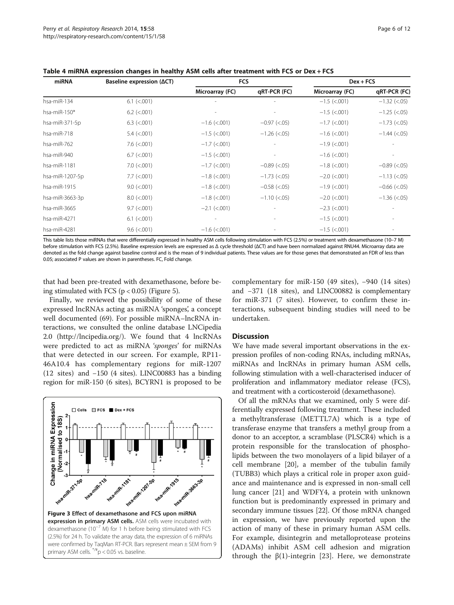| Baseline expression $(\Delta CT)$ | <b>FCS</b>      |                          |                     |                      |
|-----------------------------------|-----------------|--------------------------|---------------------|----------------------|
|                                   | Microarray (FC) | qRT-PCR (FC)             | Microarray (FC)     | qRT-PCR (FC)         |
| $6.1$ ( $< .001$ )                |                 |                          | $-1.5$ (<.001)      | $-1.32$ (<.05)       |
| $6.2$ ( $< .001$ )                |                 | $\overline{\phantom{a}}$ | $-1.5$ (<.001)      | $-1.25$ (<.05)       |
| $6.3$ ( $< .001$ )                | $-1.6$ (<.001)  | $-0.97$ (<.05)           | $-1.7$ (<.001)      | $-1.73$ (<.05)       |
| $5.4$ ( $< .001$ )                | $-1.5$ (<.001)  | $-1.26$ (<.05)           | $-1.6$ (<.001)      | $-1.44$ ( $< 0.05$ ) |
| $7.6$ ( $< .001$ )                | $-1.7$ (<.001)  |                          | $-1.9$ (<.001)      |                      |
| $6.7$ ( $< .001$ )                | $-1.5$ (<.001)  |                          | $-1.6$ (<.001)      |                      |
| $7.0$ ( $< .001$ )                | $-1.7$ (<.001)  | $-0.89$ (<.05)           | $-1.8$ (<.001)      | $-0.89$ (<.05)       |
| $7.7$ ( $< .001$ )                | $-1.8$ (<.001)  | $-1.73$ (<.05)           | $-2.0$ (<.001)      | $-1.13$ (<.05)       |
| $9.0$ ( $< .001$ )                | $-1.8$ (<.001)  | $-0.58$ (<.05)           | $-1.9$ (<.001)      | $-0.66$ (<.05)       |
| $8.0$ ( $< .001$ )                | $-1.8$ (<.001)  | $-1.10$ (<.05)           | $-2.0$ (<.001)      | $-1.36$ ( $< 0.05$ ) |
| $9.7$ ( $< .001$ )                | $-2.1$ (<.001)  |                          | $-2.3$ ( $< .001$ ) |                      |
| $6.1$ ( $< .001$ )                |                 |                          | $-1.5$ (<.001)      |                      |
| $9.6$ ( $< .001$ )                | $-1.6$ (<.001)  |                          | $-1.5$ (<.001)      |                      |
|                                   |                 |                          |                     | $Dev + FCS$          |

<span id="page-5-0"></span>Table 4 miRNA expression changes in healthy ASM cells after treatment with FCS or Dex + FCS

This table lists those miRNAs that were differentially expressed in healthy ASM cells following stimulation with FCS (2.5%) or treatment with dexamethasone (10–7 M) before stimulation with FCS (2.5%). Baseline expression levels are expressed as Δ cycle threshold (ΔCT) and have been normalized against RNU44. Microarray data are denoted as the fold change against baseline control and is the mean of 9 individual patients. These values are for those genes that demonstrated an FDR of less than 0.05; associated P values are shown in parentheses. FC, Fold change.

that had been pre-treated with dexamethasone, before being stimulated with FCS ( $p < 0.05$ ) (Figure [5\)](#page-8-0).

Finally, we reviewed the possibility of some of these expressed lncRNAs acting as miRNA 'sponges', a concept well documented (69). For possible miRNA–lncRNA interactions, we consulted the online database LNCipedia 2.0 ([http://lncipedia.org/\)](http://lncipedia.org/). We found that 4 lncRNAs were predicted to act as miRNA 'sponges' for miRNAs that were detected in our screen. For example, RP11- 46A10.4 has complementary regions for miR-1207 (12 sites) and −150 (4 sites). LINC00883 has a binding region for miR-150 (6 sites), BCYRN1 is proposed to be



complementary for miR-150 (49 sites), −940 (14 sites) and −371 (18 sites), and LINC00882 is complementary for miR-371 (7 sites). However, to confirm these interactions, subsequent binding studies will need to be undertaken.

#### **Discussion**

We have made several important observations in the expression profiles of non-coding RNAs, including mRNAs, miRNAs and lncRNAs in primary human ASM cells, following stimulation with a well-characterised inducer of proliferation and inflammatory mediator release (FCS), and treatment with a corticosteroid (dexamethasone).

Of all the mRNAs that we examined, only 5 were differentially expressed following treatment. These included a methyltransferase (METTL7A) which is a type of transferase enzyme that transfers a methyl group from a donor to an acceptor, a scramblase (PLSCR4) which is a protein responsible for the translocation of phospholipids between the two monolayers of a lipid bilayer of a cell membrane [[20](#page-10-0)], a member of the tubulin family (TUBB3) which plays a critical role in proper axon guidance and maintenance and is expressed in non-small cell lung cancer [[21](#page-10-0)] and WDFY4, a protein with unknown function but is predominantly expressed in primary and secondary immune tissues [\[22](#page-10-0)]. Of those mRNA changed in expression, we have previously reported upon the action of many of these in primary human ASM cells. For example, disintegrin and metalloprotease proteins (ADAMs) inhibit ASM cell adhesion and migration through the  $β(1)$ -integrin [\[23](#page-10-0)]. Here, we demonstrate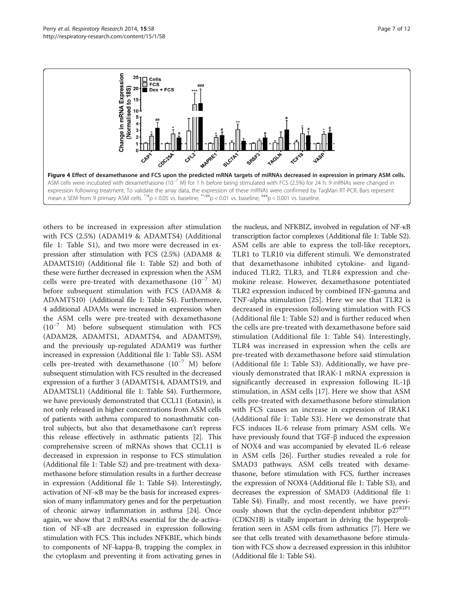<span id="page-6-0"></span>

others to be increased in expression after stimulation with FCS (2.5%) (ADAM19 & ADAMTS4) (Additional file [1:](#page-9-0) Table S1), and two more were decreased in expression after stimulation with FCS (2.5%) (ADAM8 & ADAMTS10) (Additional file [1](#page-9-0): Table S2) and both of these were further decreased in expression when the ASM cells were pre-treated with dexamethasone (10−<sup>7</sup> M) before subsequent stimulation with FCS (ADAM8 & ADAMTS10) (Additional file [1](#page-9-0): Table S4). Furthermore, 4 additional ADAMs were increased in expression when the ASM cells were pre-treated with dexamethasone (10−<sup>7</sup> M) before subsequent stimulation with FCS (ADAM28, ADAMTS1, ADAMTS4, and ADAMTS9), and the previously up-regulated ADAM19 was further increased in expression (Additional file [1:](#page-9-0) Table S3). ASM cells pre-treated with dexamethasone (10−<sup>7</sup> M) before subsequent stimulation with FCS resulted in the decreased expression of a further 3 (ADAMTS14, ADAMTS19, and ADAMTSL1) (Additional file [1](#page-9-0): Table S4). Furthermore, we have previously demonstrated that CCL11 (Eotaxin), is not only released in higher concentrations from ASM cells of patients with asthma compared to nonasthmatic control subjects, but also that dexamethasone can't repress this release effectively in asthmatic patients [\[2](#page-10-0)]. This comprehensive screen of mRNAs shows that CCL11 is decreased in expression in response to FCS stimulation (Additional file [1](#page-9-0): Table S2) and pre-treatment with dexamethasone before stimulation results in a further decrease in expression (Additional file [1:](#page-9-0) Table S4). Interestingly, activation of NF-κB may be the basis for increased expression of many inflammatory genes and for the perpetuation of chronic airway inflammation in asthma [\[24](#page-10-0)]. Once again, we show that 2 mRNAs essential for the de-activation of NF-κB are decreased in expression following stimulation with FCS. This includes NFKBIE, which binds to components of NF-kappa-B, trapping the complex in the cytoplasm and preventing it from activating genes in

the nucleus, and NFKBIZ, involved in regulation of NF-κB transcription factor complexes (Additional file [1:](#page-9-0) Table S2). ASM cells are able to express the toll-like receptors, TLR1 to TLR10 via different stimuli. We demonstrated that dexamethasone inhibited cytokine- and ligandinduced TLR2, TLR3, and TLR4 expression and chemokine release. However, dexamethasone potentiated TLR2 expression induced by combined IFN-gamma and TNF-alpha stimulation [[25\]](#page-10-0). Here we see that TLR2 is decreased in expression following stimulation with FCS (Additional file [1](#page-9-0): Table S2) and is further reduced when the cells are pre-treated with dexamethasone before said stimulation (Additional file [1](#page-9-0): Table S4). Interestingly, TLR4 was increased in expression when the cells are pre-treated with dexamethasone before said stimulation (Additional file [1:](#page-9-0) Table S3). Additionally, we have previously demonstrated that IRAK-1 mRNA expression is significantly decreased in expression following IL-1β stimulation, in ASM cells [[17](#page-10-0)]. Here we show that ASM cells pre-treated with dexamethasone before stimulation with FCS causes an increase in expression of IRAK1 (Additional file [1:](#page-9-0) Table S3). Here we demonstrate that FCS induces IL-6 release from primary ASM cells. We have previously found that TGF-β induced the expression of NOX4 and was accompanied by elevated IL-6 release in ASM cells [[26\]](#page-10-0). Further studies revealed a role for SMAD3 pathways. ASM cells treated with dexamethasone, before stimulation with FCS, further increases the expression of NOX4 (Additional file [1](#page-9-0): Table S3), and decreases the expression of SMAD3 (Additional file [1](#page-9-0): Table S4). Finally, and most recently, we have previously shown that the cyclin-dependent inhibitor  $p27^{KIP1}$ (CDKN1B) is vitally important in driving the hyperproliferation seen in ASM cells from asthmatics [\[7\]](#page-10-0). Here we see that cells treated with dexamethasone before stimulation with FCS show a decreased expression in this inhibitor (Additional file [1](#page-9-0): Table S4).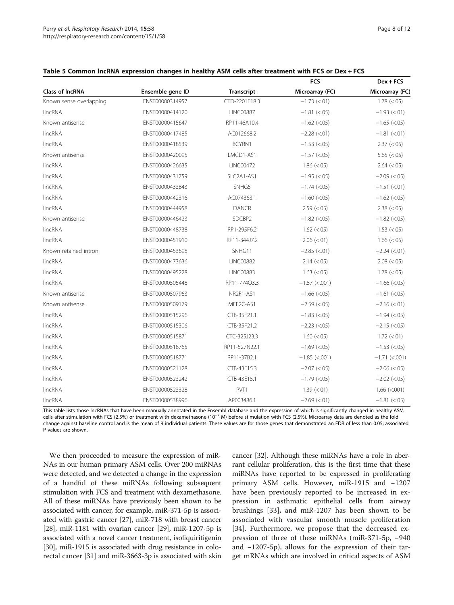|  | . <i>.</i> |  |
|--|------------|--|
|  |            |  |
|  |            |  |
|  |            |  |
|  |            |  |
|  |            |  |

|                         |                  |                   | <b>FCS</b>                  | $Dex + FCS$          |
|-------------------------|------------------|-------------------|-----------------------------|----------------------|
| <b>Class of IncRNA</b>  | Ensemble gene ID | <b>Transcript</b> | Microarray (FC)             | Microarray (FC)      |
| Known sense overlapping | ENST00000314957  | CTD-2201E18.3     | $-1.73$ (<.01)              | $1.78$ ( $< 0.05$ )  |
| lincRNA                 | ENST00000414120  | <b>LINC00887</b>  | $-1.81$ (<.05)              | $-1.93$ (<.01)       |
| Known antisense         | ENST00000415647  | RP11-46A10.4      | $-1.62$ (<.05)              | $-1.65$ (<.05)       |
| lincRNA                 | ENST00000417485  | AC012668.2        | $-2.28$ (<.01)              | $-1.81$ (<.01)       |
| lincRNA                 | ENST00000418539  | BCYRN1            | $-1.53$ (<.05)              | $2.37$ (<.05)        |
| Known antisense         | ENST00000420095  | LMCD1-AS1         | $-1.57$ (<.05)              | 5.65 $(< .05)$       |
| lincRNA                 | ENST00000426635  | <b>LINC00472</b>  | $1.86$ (<.05)               | $2.64$ ( $< .05$ )   |
| lincRNA                 | ENST00000431759  | SLC2A1-AS1        | $-1.95$ (<.05)              | $-2.09$ (<.05)       |
| lincRNA                 | ENST00000433843  | SNHG5             | $-1.74$ (<.05)              | $-1.51$ (<.01)       |
| lincRNA                 | ENST00000442316  | AC074363.1        | $-1.60$ (<.05)              | $-1.62$ (<.05)       |
| lincRNA                 | ENST00000444958  | <b>DANCR</b>      | $2.59$ (<.05)               | $2.38$ (<.05)        |
| Known antisense         | ENST00000446423  | SDCBP2            | $-1.82$ (<.05)              | $-1.82$ (<.05)       |
| lincRNA                 | ENST00000448738  | RP1-295F6.2       | $1.62$ (<.05)               | $1.53$ ( $< .05$ )   |
| lincRNA                 | ENST00000451910  | RP11-344J7.2      | $2.06$ ( $< 01$ )           | $1.66$ ( $< .05$ )   |
| Known retained intron   | ENST00000453698  | SNHG11            | $-2.85$ (<.01)              | $-2.24$ ( $< 01$ )   |
| lincRNA                 | ENST00000473636  | <b>LINC00882</b>  | $2.14 \left( < .05 \right)$ | $2.08$ (<.05)        |
| lincRNA                 | ENST00000495228  | <b>LINC00883</b>  | $1.63$ (<.05)               | $1.78$ ( $< 0.05$ )  |
| lincRNA                 | ENST00000505448  | RP11-77403.3      | $-1.57$ (<.001)             | $-1.66$ (<.05)       |
| Known antisense         | ENST00000507963  | NR2F1-AS1         | $-1.66$ (<.05)              | $-1.61$ (<.05)       |
| Known antisense         | ENST00000509179  | MEF2C-AS1         | $-2.59$ (<.05)              | $-2.16$ (<.01)       |
| lincRNA                 | ENST00000515296  | CTB-35F21.1       | $-1.83$ (<.05)              | $-1.94$ (<.05)       |
| lincRNA                 | ENST00000515306  | CTB-35F21.2       | $-2.23$ (<.05)              | $-2.15$ (<.05)       |
| lincRNA                 | ENST00000515871  | CTC-325J23.3      | $1.60$ (<.05)               | $1.72$ (<.01)        |
| lincRNA                 | ENST00000518765  | RP11-527N22.1     | $-1.69$ (<.05)              | $-1.53$ (<.05)       |
| lincRNA                 | ENST00000518771  | RP11-37B2.1       | $-1.85$ (<.001)             | $-1.71$ (<.001)      |
| lincRNA                 | ENST00000521128  | CTB-43E15.3       | $-2.07$ (<.05)              | $-2.06$ ( $< 0.05$ ) |
| lincRNA                 | ENST00000523242  | CTB-43E15.1       | $-1.79$ (<.05)              | $-2.02$ (<.05)       |
| lincRNA                 | ENST00000523328  | PVT1              | $1.39$ (<.01)               | $1.66$ (<.001)       |
| lincRNA                 | ENST00000538996  | AP003486.1        | $-2.69$ (<.01)              | $-1.81$ (<.05)       |

<span id="page-7-0"></span>

|  |  |  | Table 5 Common IncRNA expression changes in healthy ASM cells after treatment with FCS or Dex + FCS |
|--|--|--|-----------------------------------------------------------------------------------------------------|
|--|--|--|-----------------------------------------------------------------------------------------------------|

This table lists those lncRNAs that have been manually annotated in the Ensembl database and the expression of which is significantly changed in healthy ASM cells after stimulation with FCS (2.5%) or treatment with dexamethasone (10−<sup>7</sup> M) before stimulation with FCS (2.5%). Microarray data are denoted as the fold change against baseline control and is the mean of 9 individual patients. These values are for those genes that demonstrated an FDR of less than 0.05; associated P values are shown.

We then proceeded to measure the expression of miR-NAs in our human primary ASM cells. Over 200 miRNAs were detected, and we detected a change in the expression of a handful of these miRNAs following subsequent stimulation with FCS and treatment with dexamethasone. All of these miRNAs have previously been shown to be associated with cancer, for example, miR-371-5p is associated with gastric cancer [\[27\]](#page-10-0), miR-718 with breast cancer [[28](#page-10-0)], miR-1181 with ovarian cancer [\[29\]](#page-10-0), miR-1207-5p is associated with a novel cancer treatment, isoliquiritigenin [[30](#page-10-0)], miR-1915 is associated with drug resistance in colorectal cancer [[31](#page-10-0)] and miR-3663-3p is associated with skin

cancer [\[32](#page-10-0)]. Although these miRNAs have a role in aberrant cellular proliferation, this is the first time that these miRNAs have reported to be expressed in proliferating primary ASM cells. However, miR-1915 and −1207 have been previously reported to be increased in expression in asthmatic epithelial cells from airway brushings [\[33\]](#page-10-0), and miR-1207 has been shown to be associated with vascular smooth muscle proliferation [[34\]](#page-10-0). Furthermore, we propose that the decreased expression of three of these miRNAs (miR-371-5p, −940 and −1207-5p), allows for the expression of their target mRNAs which are involved in critical aspects of ASM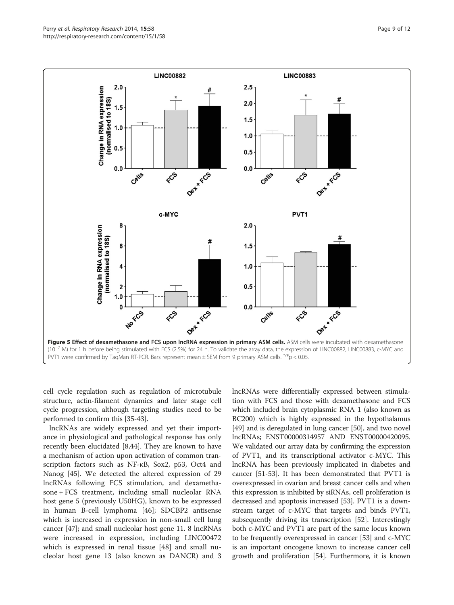<span id="page-8-0"></span>

cell cycle regulation such as regulation of microtubule structure, actin-filament dynamics and later stage cell cycle progression, although targeting studies need to be performed to confirm this [\[35](#page-10-0)-[43](#page-11-0)].

lncRNAs are widely expressed and yet their importance in physiological and pathological response has only recently been elucidated [[8,](#page-10-0)[44\]](#page-11-0). They are known to have a mechanism of action upon activation of common transcription factors such as NF-κB, Sox2, p53, Oct4 and Nanog [[45\]](#page-11-0). We detected the altered expression of 29 lncRNAs following FCS stimulation, and dexamethasone + FCS treatment, including small nucleolar RNA host gene 5 (previously U50HG), known to be expressed in human B-cell lymphoma [[46](#page-11-0)]; SDCBP2 antisense which is increased in expression in non-small cell lung cancer [\[47\]](#page-11-0); and small nucleolar host gene 11. 8 lncRNAs were increased in expression, including LINC00472 which is expressed in renal tissue [[48\]](#page-11-0) and small nucleolar host gene 13 (also known as DANCR) and 3 lncRNAs were differentially expressed between stimulation with FCS and those with dexamethasone and FCS which included brain cytoplasmic RNA 1 (also known as BC200) which is highly expressed in the hypothalamus [[49](#page-11-0)] and is deregulated in lung cancer [[50](#page-11-0)], and two novel lncRNAs; ENST00000314957 AND ENST00000420095. We validated our array data by confirming the expression of PVT1, and its transcriptional activator c-MYC. This lncRNA has been previously implicated in diabetes and cancer [[51](#page-11-0)-[53](#page-11-0)]. It has been demonstrated that PVT1 is overexpressed in ovarian and breast cancer cells and when this expression is inhibited by siRNAs, cell proliferation is decreased and apoptosis increased [\[53\]](#page-11-0). PVT1 is a downstream target of c-MYC that targets and binds PVT1, subsequently driving its transcription [[52](#page-11-0)]. Interestingly both c-MYC and PVT1 are part of the same locus known to be frequently overexpressed in cancer [\[53](#page-11-0)] and c-MYC is an important oncogene known to increase cancer cell growth and proliferation [[54](#page-11-0)]. Furthermore, it is known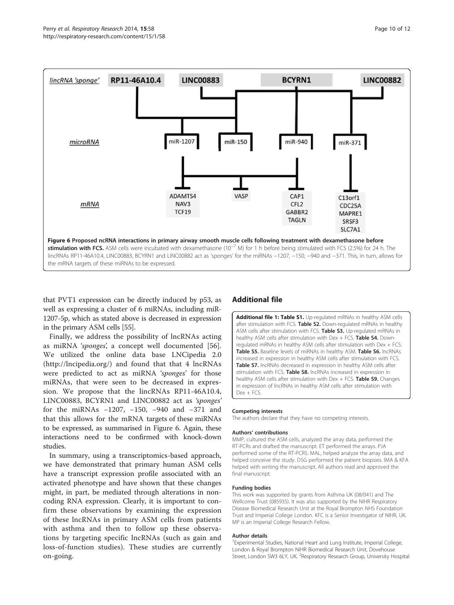<span id="page-9-0"></span>

that PVT1 expression can be directly induced by p53, as well as expressing a cluster of 6 miRNAs, including miR-1207-5p, which as stated above is decreased in expression in the primary ASM cells [\[55\]](#page-11-0).

Finally, we address the possibility of lncRNAs acting as miRNA 'sponges', a concept well documented [\[56](#page-11-0)]. We utilized the online data base LNCipedia 2.0 ([http://lncipedia.org/\)](http://lncipedia.org/) and found that that 4 lncRNAs were predicted to act as miRNA 'sponges' for those miRNAs, that were seen to be decreased in expression. We propose that the lincRNAs RP11-46A10.4, LINC00883, BCYRN1 and LINC00882 act as 'sponges' for the miRNAs −1207, −150, −940 and −371 and that this allows for the mRNA targets of these miRNAs to be expressed, as summarised in Figure 6. Again, these interactions need to be confirmed with knock-down studies.

In summary, using a transcriptomics-based approach, we have demonstrated that primary human ASM cells have a transcript expression profile associated with an activated phenotype and have shown that these changes might, in part, be mediated through alterations in noncoding RNA expression. Clearly, it is important to confirm these observations by examining the expression of these lncRNAs in primary ASM cells from patients with asthma and then to follow up these observations by targeting specific lncRNAs (such as gain and loss-of-function studies). These studies are currently on-going.

# Additional file

[Additional file 1: Table S1.](http://www.biomedcentral.com/content/supplementary/1465-9921-15-58-S1.docx) Up-regulated mRNAs in healthy ASM cells after stimulation with FCS. Table S2. Down-regulated mRNAs in healthy ASM cells after stimulation with FCS. Table S3. Up-regulated mRNAs in healthy ASM cells after stimulation with Dex + FCS. Table S4. Downregulated mRNAs in healthy ASM cells after stimulation with Dex + FCS. Table S5. Baseline levels of miRNAs in healthy ASM. Table S6. IncRNAs increased in expression in healthy ASM cells after stimulation with FCS. Table S7. lncRNAs decreased in expression in healthy ASM cells after stimulation with FCS. Table S8. IncRNAs increased in expression in healthy ASM cells after stimulation with Dex + FCS. Table S9. Changes in expression of lncRNAs in healthy ASM cells after stimulation with Dex + FCS.

#### Competing interests

The authors declare that they have no competing interests.

#### Authors' contributions

MMP, cultured the ASM cells, analyzed the array data, performed the RT-PCRs and drafted the manuscript. ET performed the arrays. PJA performed some of the RT-PCRS. MAL, helped analyze the array data, and helped conceive the study. DSG performed the patient biopsies. IMA & KFA helped with writing the manuscript. All authors read and approved the final manuscript.

#### Funding bodies

This work was supported by grants from Asthma UK (08/041) and The Wellcome Trust (085935). It was also supported by the NIHR Respiratory Disease Biomedical Research Unit at the Royal Brompton NHS Foundation Trust and Imperial College London. KFC is a Senior Investigator of NIHR, UK. MP is an Imperial College Research Fellow.

#### Author details

<sup>1</sup> Experimental Studies, National Heart and Lung Institute, Imperial College, London & Royal Brompton NIHR Biomedical Research Unit, Dovehouse Street, London SW3 6LY, UK. <sup>2</sup>Respiratory Research Group, University Hospital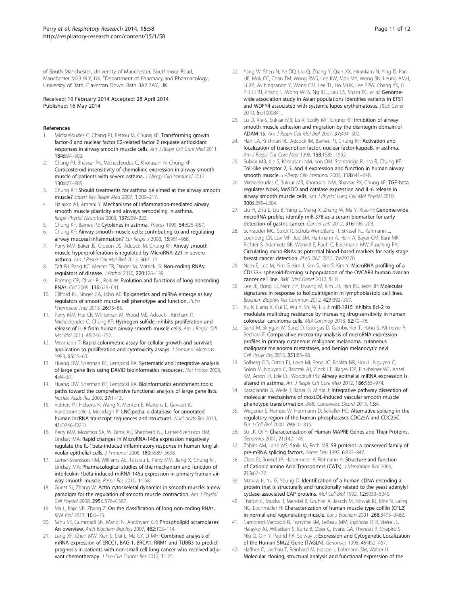<span id="page-10-0"></span>of South Manchester, University of Manchester, Southmoor Road, Manchester M23 9LY, UK. <sup>3</sup>Department of Pharmacy and Pharmacology, University of Bath, Claverton Down, Bath BA2 7AY, UK.

#### Received: 10 February 2014 Accepted: 28 April 2014 Published: 16 May 2014

#### References

- Michaeloudes C, Chang PJ, Petrou M, Chung KF: Transforming growth factor-ß and nuclear factor E2-related factor 2 regulate antioxidant responses in airway smooth muscle cells. Am J Respir Crit Care Med 2011, 184:894–903.
- 2. Chang PJ, Bhavsar PK, Michaeloudes C, Khorasani N, Chung KF: Corticosteroid insensitivity of chemokine expression in airway smooth muscle of patients with severe asthma. J Allergy Clin Immunol 2012, 130:877–885.
- 3. Chung KF: Should treatments for asthma be aimed at the airway smooth muscle? Expert Rev Respir Med 2007, 1:209–217.
- 4. Halayko AJ, Amrani Y: Mechanisms of inflammation-mediated airway smooth muscle plasticity and airways remodeling in asthma. Respir Physiol Neurobiol 2003, 137:209–222.
- 5. Chung KF, Barnes PJ: Cytokines in asthma. Thorax 1999, 54:825-857.
- 6. Chung KF: Airway smooth muscle cells: contributing to and regulating airway mucosal inflammation? Eur Respir J 2000, 15:961-968.
- 7. Perry MM, Baker JE, Gibeon DS, Adcock IM, Chung KF: Airway smooth muscle hyperproliferation is regulated by MicroRNA-221 in severe asthma. Am J Respir Cell Mol Biol 2013, 50:7–17.
- 8. Taft RJ, Pang KC, Mercer TR, Dinger M, Mattick JS: Non-coding RNAs: regulators of disease. J Pathol 2010, 220:126–139.
- Ponting CP, Oliver PL, Reik W: Evolution and functions of long noncoding RNAs. Cell 2009, 136:629–641.
- 10. Clifford RL, Singer CA, John AE: Epigenetics and miRNA emerge as key regulators of smooth muscle cell phenotype and function. Pulm Pharmacol Ther 2013, 26:75–85.
- 11. Perry MM, Hui CK, Whiteman M, Wood ME, Adcock I, Kirkham P, Michaeloudes C, Chung KF: Hydrogen sulfide inhibits proliferation and release of IL-8 from human airway smooth muscle cells. Am J Respir Cell Mol Biol 2011, 45:746–752.
- 12. Mosmann T: Rapid colorimetric assay for cellular growth and survival: application to proliferation and cytotoxicity assays. *J Immunol Methods* 1983, 65:55–63.
- 13. Huang DW, Sherman BT, Lempicki RA: Systematic and integrative analysis of large gene lists using DAVID bioinformatics resources. Nat Protoc 2008, 4:44–57.
- 14. Huang DW, Sherman BT, Lempicki RA: Bioinformatics enrichment tools: paths toward the comprehensive functional analysis of large gene lists. Nucleic Acids Res 2009, 37:1–13.
- 15. Volders PJ, Helsens K, Wang X, Menten B, Martens L, Gevaert K, Vandesompele J, Mestdagh P: LNCipedia: a database for annotated human lncRNA transcript sequences and structures. Nucl Acids Res 2013, 41:D246–D251.
- 16. Perry MM, Moschos SA, Williams AE, Shepherd NJ, Larner-Svensson HM, Lindsay MA: Rapid changes in MicroRNA-146a expression negatively regulate the IL-1beta-induced inflammatory response in human lung alveolar epithelial cells. J Immunol 2008, 180:5689-5698.
- 17. Larner-Svensson HM, Williams AE, Tsitsiou E, Perry MM, Jiang X, Chung KF, Lindsay MA: Pharmacological studies of the mechanism and function of interleukin-1beta-induced miRNA-146a expression in primary human airway smooth muscle. Respir Res 2010, 11:68.
- 18. Gunst SJ, Zhang W: Actin cytoskeletal dynamics in smooth muscle: a new paradigm for the regulation of smooth muscle contraction. Am J Physiol Cell Physiol 2008, 295:C576–C587.
- 19. Ma L, Bajic VB, Zhang Z: On the classification of long non-coding RNAs. RNA Biol 2013, 10:6–15.
- 20. Sahu SK, Gummadi SN, Manoj N, Aradhyam GK: Phospholipid scramblases: An overview. Arch Biochem Biophys 2007, 462:103–114.
- 21. Leng XF, Chen MW, Xian L, Dai L, Ma GY, Li MH: Combined analysis of mRNA expression of ERCC1, BAG-1, BRCA1, RRM1 and TUBB3 to predict prognosis in patients with non-small cell lung cancer who received adjuvant chemotherapy. J Exp Clin Cancer Res 2012, 31:25.
- 22. Yang W, Shen N, Ye DQ, Liu Q, Zhang Y, Qian XX, Hirankarn N, Ying D, Pan HF, Mok CC, Chan TM, Wong RWS, Lee KW, Mok MY, Wong SN, Leung AMH, Li XP, Avihingsanon Y, Wong CM, Lee TL, Ho MHK, Lee PPW, Chang YK, Li PH, Li RJ, Zhang L, Wong WHS, Ng IOL, Lau CS, Sham PC, et al: Genomewide association study in Asian populations identifies variants in ETS1 and WDFY4 associated with systemic lupus erythematosus. PLoS Genet 2010, 6:e1000841.
- 23. Lu D, Xie S, Sukkar MB, Lu X, Scully MF, Chung KF: Inhibition of airway smooth muscle adhesion and migration by the disintegrin domain of ADAM-15. Am J Respir Cell Mol Biol 2007, 37:494–500.
- 24. Hart LA, Krishnan VL, Adcock IM, Barnes PJ, Chung KF: Activation and localization of transcription factor, nuclear factor-kappaB, in asthma. Am J Respir Crit Care Med 1998, 158:1585–1592.
- 25. Sukkar MB, Xie S, Khorasani NM, Kon OM, Stanbridge R, Issa R, Chung KF: Toll-like receptor 2, 3, and 4 expression and function in human airway smooth muscle. J Allergy Clin Immunol 2006, 118:641-648.
- 26. Michaeloudes C, Sukkar MB, Khorasani NM, Bhavsar PK, Chung KF: TGF-beta regulates Nox4, MnSOD and catalase expression and IL-6 release in airway smooth muscle cells. Am J Physiol Lung Cell Mol Physiol 2010, 300:L295–L304.
- 27. Liu H, Zhu L, Liu B, Yang L, Meng X, Zhang W, Ma Y, Xiao H: Genome-wide microRNA profiles identify miR-378 as a serum biomarker for early detection of gastric cancer. Cancer Lett 2012, 316:196–203.
- 28. Schrauder MG, Strick R, Schulz-Wendtland R, Strissel PL, Kahmann L, Loehberg CR, Lux MP, Jud SM, Hartmann A, Hein A, Bayer CM, Bani MR, Richter S, Adamietz BR, Wenkel E, Rauh C, Beckmann MW, Fasching PA: Circulating micro-RNAs as potential blood-based markers for early stage breast cancer detection. PLoS ONE 2012, 7:e29770.
- 29. Nam E, Lee M, Yim G, Kim J, Kim S, Kim S, Kim Y: MicroRNA profiling of a CD133+ spheroid-forming subpopulation of the OVCAR3 human ovarian cancer cell line. BMC Med Genet 2012, 5:18.
- 30. Lee JE, Hong EJ, Nam HY, Hwang M, Kim JH, Han BG, Jeon JP: Molecular signatures in response to Isoliquiritigenin in lymphoblastoid cell lines. Biochem Biophys Res Commun 2012, 427:392–397.
- 31. Xu K, Liang X, Cui D, Wu Y, Shi W, Liu J: miR-1915 inhibits Bcl-2 to modulate multidrug resistance by increasing drug-sensitivity in human colorectal carcinoma cells. Mol Carcinog 2013, 52:70–78.
- 32. Sand M, Skrygan M, Sand D, Georgas D, Gambichler T, Hahn S, Altmeyer P, Bechara F: Comparative microarray analysis of microRNA expression profiles in primary cutaneous malignant melanoma, cutaneous malignant melanoma metastases, and benign melanocytic nevi. Cell Tissue Res 2013, 351:85–98.
- 33. Solberg OD, Ostrin EJ, Love MI, Peng JC, Bhakta NR, Hou L, Nguyen C, Solon M, Nguyen C, Barczak AJ, Zlock LT, Blagev DP, Finkbeiner WE, Ansel KM, Arron JR, Erle DJ, Woodruff PG: Airway epithelial miRNA expression is altered in asthma. Am J Respir Crit Care Med 2012, 186:965–974.
- 34. Karagiannis G, Weile J, Bader G, Minta J: Integrative pathway dissection of molecular mechanisms of moxLDL-induced vascular smooth muscle phenotype transformation. BMC Cardiovasc Disord 2013, 13:4.
- Wegener S, Hampe W, Herrmann D, Schaller HC: Alternative splicing in the regulatory region of the human phosphatases CDC25A and CDC25C. Eur J Cell Biol 2000, 79:810–815.
- 36. Su LK, Qi Y: Characterization of Human MAPRE Genes and Their Proteins. Genomics 2001, 71:142–149.
- 37. Zahler AM, Lane WS, Stolk JA, Roth MB: SR proteins: a conserved family of pre-mRNA splicing factors. Genes Dev 1992, 6:837-847.
- Closs EI, Boissel JP, Habermeier A, Rotmann A: Structure and function of Cationic amino Acid Transporters (CATs). J Membrane Biol 2006, 213:67–77.
- 39. Matviw H, Yu G, Young D: Identification of a human cDNA encoding a protein that is structurally and functionally related to the yeast adenylyl cyclase-associated CAP proteins. Mol Cell Biol 1992, 12:5033–5040.
- 40. Thirion C, Stucka R, Mendel B, Gruhler A, Jaksch M, Nowak KJ, Binz N, Laing NG, Lochmüller H: Characterization of human muscle type cofilin (CFL2) in normal and regenerating muscle. Eur J Biochem 2001, 268:3473-3482.
- 41. Camoretti-Mercado B, Forsythe SM, LeBeau MM, Espinosa R III, Vieira JE, Halayko AJ, Willadsen S, Kurtz B, Ober C, Evans GA, Thweatt R, Shapiro S, Niu Q, Qin Y, Padrid PA, Solway J: Expression and Cytogenetic Localization of the Human SM22 Gene (TAGLN). Genomics 1998, 49:452–457.
- 42. Haffner C, Jarchau T, Reinhard M, Hoppe J, Lohmann SM, Walter U: Molecular cloning, structural analysis and functional expression of the